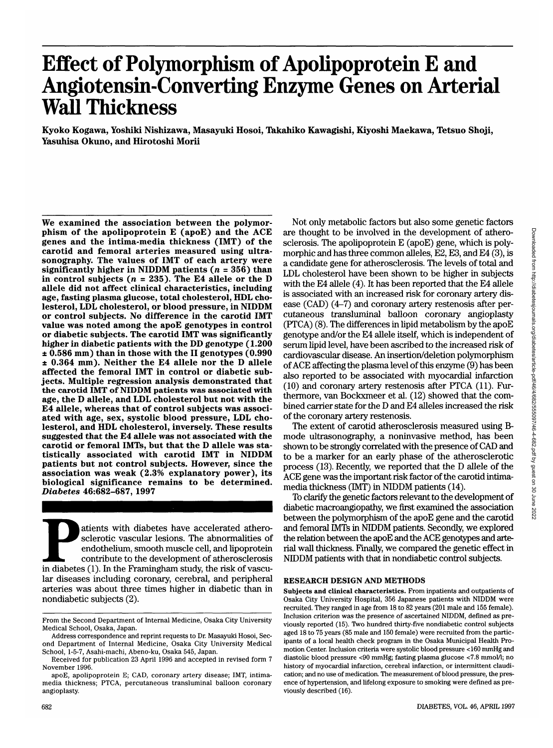# **Effect of Polymorphism of Apolipoprotein E and Angiotensin-Converting Enzyme Genes on Arterial Wall Thickness**

Kyoko Kogawa, Yoshiki Nishizawa, Masayuki Hosoi, Takahiko Kawagishi, Kiyoshi Maekawa, Tetsuo Shoji, Yasuhisa Okuno, and Hirotoshi Morii

We examined the association between the polymor-<br>phism of the apolipoprotein E (apoE) and the ACE genes and the intima-media thickness (IMT) of the carotid and femoral arteries measured using ultra- sonography. The values of IMT of each artery were significantly higher in NIDDM patients ( $n = 356$ ) than in control subjects *(n* = 235). The E4 allele or the D allele did not affect clinical characteristics, including age, fasting plasma glucose, total cholesterol, HDL cho- lesterol, LDL cholesterol, or blood pressure, in NIDDM or control subjects. No difference in the carotid IMT value was noted among the apoE genotypes in control or diabetic subjects. The carotid IMT was significantly higher in diabetic patients with the DD genotype (1.200 ± 0.586 mm) than in those with the II genotypes (0.990 ± 0.364 mm). Neither the E4 allele nor the D allele affected the femoral IMT in control or diabetic sub- jects. Multiple regression analysis demonstrated that the carotid IMT of NIDDM patients was associated with age, the D allele, and LDL cholesterol but not with the E4 allele, whereas that of control subjects was associ- ated with age, sex, systolic blood pressure, LDL cho- lesterol, and HDL cholesterol, inversely. These results suggested that the E4 allele was not associated with the carotid or femoral IMTs, but that the D allele was sta- tistically associated with carotid IMT in NIDDM patients but not control subjects. However, since the association was weak (2.3% explanatory power), its biological significance remains to be determined. *Diabetes* 46:682-687, 1997

atients with diabetes have accelerated athero-<br>
sclerotic vascular lesions. The abnormalities of<br>
endothelium, smooth muscle cell, and lipoprotein<br>
contribute to the development of atherosclerosis<br>
in diabetes (1). In the sclerotic vascular lesions. The abnormalities of endothelium, smooth muscle cell, and lipoprotein contribute to the development of atherosclerosis lar diseases including coronary, cerebral, and peripheral arteries was about three times higher in diabetic than in nondiabetic subjects (2).

Not only metabolic factors but also some genetic factors are thought to be involved in the development of atherosclerosis. The apolipoprotein E (apoE) gene, which is polymorphic and has three common alleles, E2, E3, and E4 (3), is a candidate gene for atherosclerosis. The levels of total and LDL cholesterol have been shown to be higher in subjects with the E4 allele (4). It has been reported that the E4 allele is associated with an increased risk for coronary artery disease (CAD) (4-7) and coronary artery restenosis after percutaneous transluminal balloon coronary angioplasty (PTCA) (8). The differences in lipid metabolism by the apoE genotype and/or the E4 allele itself, which is independent of serum lipid level, have been ascribed to the increased risk of cardiovascular disease. An insertion/deletion polymorphism of ACE affecting the plasma level of this enzyme (9) has been also reported to be associated with myocardial infarction (10) and coronary artery restenosis after PTCA (11). Furthermore, van Bockxmeer et al. (12) showed that the combined carrier state for the D and E4 alleles increased the risk of the coronary artery restenosis.

The extent of carotid atherosclerosis measured using Bmode ultrasonography, a noninvasive method, has been shown to be strongly correlated with the presence of CAD and to be a marker for an early phase of the atherosclerotic process (13). Recently, we reported that the D allele of the ACE gene was the important risk factor of the carotid intimamedia thickness (IMT) in NIDDM patients (14).

To clarify the genetic factors relevant to the development of diabetic macroangiopathy, we first examined the association between the polymorphism of the apoE gene and the carotid and femoral IMTs in NIDDM patients. Secondly, we explored the relation between the apoE and the ACE genotypes and arterial wall thickness. Finally, we compared the genetic effect in NIDDM patients with that in nondiabetic control subjects.

### RESEARCH DESIGN AND METHODS

**Subjects and clinical characteristics.** From inpatients and outpatients of Osaka City University Hospital, 356 Japanese patients with NIDDM were recruited. They ranged in age from 18 to 82 years (201 male and 155 female). Inclusion criterion was the presence of ascertained NIDDM, defined as previously reported (15). Two hundred thirty-five nondiabetic control subjects aged 18 to 75 years (85 male and 150 female) were recruited from the participants of a local health check program in the Osaka Municipal Health Promotion Center. Inclusion criteria were systolic blood pressure <160 mmHg and diastolic blood pressure <90 mmHg; fasting plasma glucose <7.8 mmol/1; no history of myocardial infarction, cerebral infarction, or intermittent claudication; and no use of medication. The measurement of blood pressure, the presence of hypertension, and lifelong exposure to smoking were defined as previously described (16).

From the Second Department of Internal Medicine, Osaka City University Medical School, Osaka, Japan.

Address correspondence and reprint requests to Dr. Masayuki Hosoi, Second Department of Internal Medicine, Osaka City University Medical School, 1-5-7, Asahi-machi, Abeno-ku, Osaka 545, Japan.

Received for publication 23 April 1996 and accepted in revised form 7 November 1996.

apoE, apolipoprotein E; CAD, coronary artery disease; IMT, intimamedia thickness; PTCA, percutaneous transluminal balloon coronary angioplasty.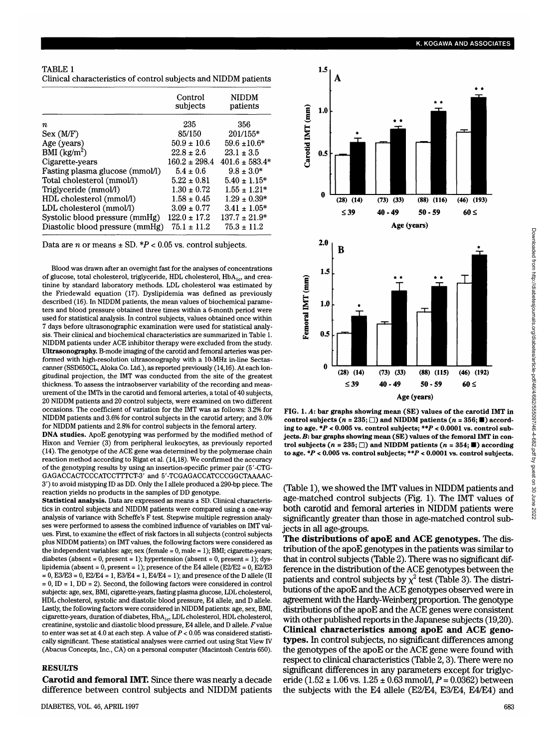| TABLE 1                                                         |  |
|-----------------------------------------------------------------|--|
| Clinical characteristics of control subjects and NIDDM patients |  |

|                                 | Control<br>subjects | <b>NIDDM</b><br>patients |
|---------------------------------|---------------------|--------------------------|
| п                               | 235                 | 356                      |
| Sex (MF)                        | 85/150              | $201/155*$               |
| Age (years)                     | $50.9 \pm 10.6$     | $59.6 \pm 10.6*$         |
| BMI $(kg/m2)$                   | $22.8 \pm 2.6$      | $23.1 \pm 3.5$           |
| Cigarette-years                 | $160.2 + 298.4$     | $401.6 \pm 583.4*$       |
| Fasting plasma glucose (mmol/l) | $5.4 \pm 0.6$       | $9.8 \pm 3.0*$           |
| Total cholesterol (mmol/l)      | $5.22 + 0.81$       | $5.40 \pm 1.15^*$        |
| Triglyceride (mmol/l)           | $1.30 \pm 0.72$     | $1.55 \pm 1.21*$         |
| HDL cholesterol (mmol/l)        | $1.58 \pm 0.45$     | $1.29 \pm 0.39*$         |
| LDL cholesterol (mmol/l)        | $3.09 \pm 0.77$     | $3.41 \pm 1.05*$         |
| Systolic blood pressure (mmHg)  | $122.0 \pm 17.2$    | $137.7 \pm 21.9*$        |
| Diastolic blood pressure (mmHg) | $75.1 \pm 11.2$     | $75.3 \pm 11.2$          |

Data are *n* or means ± SD. *\*P* < 0.05 vs. control subjects.

Blood was drawn after an overnight fast for the analyses of concentrations of glucose, total cholesterol, triglyceride, HDL cholesterol,  $HbA_{1c}$ , and creatinine by standard laboratory methods. LDL cholesterol was estimated by the Friedewald equation (17). Dyslipidemia was defined as previously described (16). In NIDDM patients, the mean values of biochemical parameters and blood pressure obtained three times within a 6-month period were used for statistical analysis. In control subjects, values obtained once within 7 days before ultrasonographic examination were used for statistical analysis. Their clinical and biochemical characteristics are summarized in Table 1. NIDDM patients under ACE inhibitor therapy were excluded from the study. **Ultrasonography.** B-mode imaging of the carotid and femoral arteries was performed with high-resolution ultrasonography with a 10-MHz in-line Sectascanner (SSD650CL, Aloka Co. Ltd.), as reported previously (14,16). At each longitudinal projection, the IMT was conducted from the site of the greatest thickness. To assess the intraobserver variability of the recording and measurement of the IMTs in the carotid and femoral arteries, a total of 40 subjects, 20 NIDDM patients and 20 control subjects, were examined on two different occasions. The coefficient of variation for the IMT was as follows: 3.2% for NIDDM patients and 3.6% for control subjects in the carotid artery; and 3.0% for NIDDM patients and 2.8% for control subjects in the femoral artery.

**DNA studies.** ApoE genotyping was performed by the modified method of Hixon and Vernier (3) from peripheral leukocytes, as previously reported (14). The genotype of the ACE gene was determined by the polymerase chain reaction method according to Rigat et al. (14,18). We confirmed the accuracy of the genotyping results by using an insertion-specific primer pair (5'-CTG-GAGACCACTCCCATCCTTTCT-3' and 5'-TCGAGACCATCCCGGCTAAAAC- $3'$ ) to avoid mistyping ID as DD. Only the I allele produced a  $300$ -bp piece. The o y to avoid mistyping in as DD. Only the I allele produced a **Statistical analysis.** Data are expressed as means ± SD. Clinical characteris-

 $t$ tics in control subjects and NIDDM patients were compared using a one-way acs in completion subjects and information patients were compared using a one-way analysis of variance with Scheffe's F test. Stepwise multiple regression analyses were performed to assess the combined influence of variables on IMT values. First, to examine the effect of risk factors in all subjects (control subjects plus NIDDM patients) on IMT values, the following factors were considered as the independent variables: age; sex (female =  $0$ , male = 1); BMI; cigarette-years; diabetes (absent = 0, present = 1); hypertension (absent = 0, present = 1); dyslipidemia (absent = 0, present = 1); presence of the E4 allele (E2/E2 = 0, E2/E3  $= 0$ , E3/E3 = 0, E2/E4 = 1, E3/E4 = 1, E4/E4 = 1); and presence of the D allele (II  $s = 0$ , ID = 1, DD = 2). Second, the following factors were considered in control subjects: age, sex, BMI, cigarette-years, fasting plasma glucose, LDL cholesterol, HDL cholesterol, systolic and diastolic blood pressure, E4 allele, and D allele. Lastly, the following factors were considered in NIDDM patients: age, sex, BMI, cigarette-years, duration of diabetes,  $HbA_{1c}$ , LDL cholesterol, HDL cholesterol, creatinine, systolic and diastolic blood pressure, E4 allele, and D allele. F value to enter was set at 4.0 at each step. A value of  $P < 0.05$  was considered statistically significant. These statistical analyses were carried out using Stat View IV (Abacus Concepts, Inc., CA) on a personal computer (Macintosh Centris 650).

## **RESULTS**

**Carotid and femoral IMT.** Since there was nearly a decade difference between control subjects and NIDDM patients



**FIG. 1.** *A:* **bar graphs showing mean (SE) values of the carotid IMT in** control subjects ( $n = 235$ ;  $\Box$ ) and NIDDM patients ( $n = 356$ ;  $\blacksquare$ ) accord**ing to age.** *\*P <* **0.005 vs. control subjects;** *\*\*P* **< 0.0001 vs. control subjects.** *B:* **bar graphs showing mean (SE) values of the femoral IMT in control subjects (** $n = 235$ **;**  $\Box$ **) and NIDDM patients (** $n = 354$ **;**  $\Box$ **) according to age.** *\*P <* **0.005 vs. control subjects;** *\*\*P <* **0.0001 vs. control subjects.**

(Table 1), we showed the IMT values in NIDDM patients and age-matched control subjects (Fig. 1). The IMT values of both carotid and femoral arteries in NIDDM patients were significantly greater than those in age-matched control subjects in all age-groups.

**The distributions of apoE and ACE genotypes.** The distribution of the apoE genotypes in the patients was similar to that in control subjects (Table 2). There was no significant difference in the distribution of the ACE genotypes between the patients and control subjects by  $\chi^2$  test (Table 3). The distributions of the apoE and the ACE genotypes observed were in agreement with the Hardy-Weinberg proportion. The genotype distributions of the apoE and the ACE genes were consistent with other published reports in the Japanese subjects (19,20). **Clinical characteristics among apoE and ACE genotypes.** In control subjects, no significant differences among the genotypes of the apoE or the ACE gene were found with respect to clinical characteristics (Table 2,3). There were no significant differences in any parameters except for triglyceride  $(1.52 \pm 1.06 \text{ vs. } 1.25 \pm 0.63 \text{ mmol/l}, P = 0.0362)$  between the subjects with the E4 allele (E2/E4, E3/E4, E4/E4) and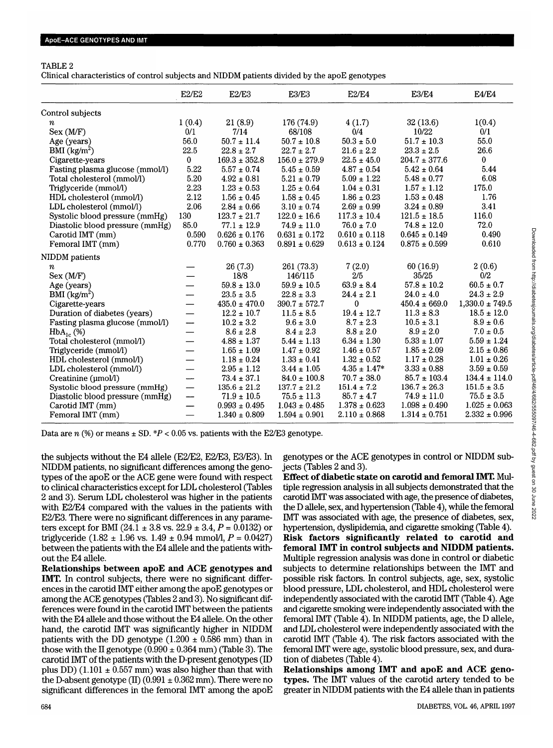## TABLE 2

Clinical characteristics of control subjects and NIDDM patients divided by the apoE genotypes

|                                 | E2/E2                    | E2/E3             | E3/E3             | E2/E4             | <b>E3/E4</b>      | <b>E4/E4</b>        |
|---------------------------------|--------------------------|-------------------|-------------------|-------------------|-------------------|---------------------|
| Control subjects                |                          |                   |                   |                   |                   |                     |
| п                               | 1(0.4)                   | 21(8.9)           | 176 (74.9)        | 4(1.7)            | 32(13.6)          | 1(0.4)              |
| Sex (M/F)                       | 0/1                      | 7/14              | 68/108            | 0/4               | 10/22             | 0/1                 |
| Age (years)                     | 56.0                     | $50.7 \pm 11.4$   | $50.7 \pm 10.8$   | $50.3 \pm 5.0$    | $51.7 \pm 10.3$   | 55.0                |
| BMI $(kg/m2)$                   | 22.5                     | $22.8 \pm 2.7$    | $22.7 \pm 2.7$    | $21.6 \pm 2.2$    | $23.3 \pm 2.5$    | 26.6                |
| Cigarette-years                 | $\mathbf{0}$             | $169.3 \pm 352.8$ | $156.0 \pm 279.9$ | $22.5 \pm 45.0$   | $204.7 \pm 377.6$ | $\bf{0}$            |
| Fasting plasma glucose (mmol/l) | 5.22                     | $5.57\pm0.74$     | $5.45\pm0.59$     | $4.87\pm0.54$     | $5.42 \pm 0.64$   | 5.44                |
| Total cholesterol (mmol/l)      | 5.20                     | $4.92 \pm 0.81$   | $5.21 \pm 0.79$   | $5.09 \pm 1.22$   | $5.48 \pm 0.77$   | 6.08                |
| Triglyceride (mmol/l)           | 2.23                     | $1.23 \pm 0.53$   | $1.25 \pm 0.64$   | $1.04\pm0.31$     | $1.57 \pm 1.12$   | 175.0               |
| HDL cholesterol (mmol/l)        | 2.12                     | $1.56 \pm 0.45$   | $1.58 \pm 0.45$   | $1.86 \pm 0.23$   | $1.53 \pm 0.48$   | 1.76                |
| LDL cholesterol (mmol/l)        | 2.06                     | $2.84 \pm 0.66$   | $3.10 \pm 0.74$   | $2.69 \pm 0.99$   | $3.24 \pm 0.89$   | 3.41                |
| Systolic blood pressure (mmHg)  | 130                      | $123.7 \pm 21.7$  | $122.0 \pm 16.6$  | $117.3 \pm 10.4$  | $121.5 \pm 18.5$  | 116.0               |
| Diastolic blood pressure (mmHg) | 85.0                     | $77.1 \pm 12.9$   | $74.9 \pm 11.0$   | $76.0 \pm 7.0$    | $74.8 \pm 12.0$   | 72.0                |
| Carotid IMT (mm)                | 0.590                    | $0.626 \pm 0.176$ | $0.631 \pm 0.172$ | $0.610 \pm 0.118$ | $0.645 \pm 0.149$ | 0.490               |
| Femoral IMT (mm)                | 0.770                    | $0.760 \pm 0.363$ | $0.891 \pm 0.629$ | $0.613 \pm 0.124$ | $0.875 \pm 0.599$ | 0.610               |
| NIDDM patients                  |                          |                   |                   |                   |                   |                     |
| $\it n$                         |                          | 26(7.3)           | 261 (73.3)        | 7(2.0)            | 60(16.9)          | 2(0.6)              |
| Sex (M/F)                       |                          | 18/8              | 146/115           | 2/5               | 35/25             | 0/2                 |
| Age (years)                     | $\overline{\phantom{0}}$ | $59.8 \pm 13.0$   | $59.9 \pm 10.5$   | $63.9 \pm 8.4$    | $57.8 \pm 10.2$   | $60.5 \pm 0.7$      |
| BMI $(kg/m^2)$                  | —                        | $23.5 \pm 3.5$    | $22.8 \pm 3.3$    | $24.4 \pm 2.1$    | $24.0 \pm 4.0$    | $24.3 \pm 2.9$      |
| Cigarette-years                 | $\overline{\phantom{0}}$ | $435.0 \pm 470.0$ | $390.7 \pm 572.7$ | 0                 | $450.4 \pm 669.0$ | $1,330.0 \pm 749.5$ |
| Duration of diabetes (years)    | $\overline{\phantom{0}}$ | $12.2 \pm 10.7$   | $11.5 \pm 8.5$    | $19.4 \pm 12.7$   | $11.3 \pm 8.3$    | $18.5 \pm 12.0$     |
| Fasting plasma glucose (mmol/l) | -----                    | $10.2 \pm 3.2$    | $9.6 \pm 3.0$     | $8.7 \pm 2.3$     | $10.5 \pm 3.1$    | $8.9 \pm 0.6$       |
| $HbA_{1c}$ (%)                  | $\overline{\phantom{0}}$ | $8.6 \pm 2.8$     | $8.4 \pm 2.3$     | $8.8 \pm 2.0$     | $8.9 \pm 2.0$     | $7.0 \pm 0.5$       |
| Total cholesterol (mmol/l)      | $\overline{\phantom{0}}$ | $4.88 \pm 1.37$   | $5.44 \pm 1.13$   | $6.34 \pm 1.30$   | $5.33 \pm 1.07$   | $5.59 \pm 1.24$     |
| Triglyceride (mmol/l)           |                          | $1.65 \pm 1.09$   | $1.47 \pm 0.92$   | $1.46 \pm 0.57$   | $1.85 \pm 2.09$   | $2.15 \pm 0.86$     |
| HDL cholesterol (mmol/l)        | $\overline{\phantom{0}}$ | $1.18 \pm 0.24$   | $1.33 \pm 0.41$   | $1.32 \pm 0.52$   | $1.17 \pm 0.28$   | $1.01 \pm 0.26$     |
| LDL cholesterol (mmol/l)        | —                        | $2.95 \pm 1.12$   | $3.44 \pm 1.05$   | $4.35 \pm 1.47*$  | $3.33 \pm 0.88$   | $3.59 \pm 0.59$     |
| Creatinine (µmol/l)             | ---                      | $73.4 \pm 37.1$   | $84.0 \pm 100.8$  | $70.7 \pm 38.0$   | $85.7 \pm 103.4$  | $134.4 \pm 114.0$   |
| Systolic blood pressure (mmHg)  | $\overline{\phantom{0}}$ | $135.6 \pm 21.2$  | $137.7 \pm 21.2$  | $151.4 \pm 7.2$   | $136.7 \pm 26.3$  | $151.5 \pm 3.5$     |
| Diastolic blood pressure (mmHg) | ---                      | $71.9 \pm 10.5$   | $75.5 \pm 11.3$   | $85.7 \pm 4.7$    | $74.9 \pm 11.0$   | $75.5 \pm 3.5$      |
| Carotid IMT (mm)                | —                        | $0.993 \pm 0.495$ | $1.043 \pm 0.485$ | $1.378 \pm 0.623$ | $1.098 \pm 0.490$ | $1.025 \pm 0.063$   |
| Femoral IMT (mm)                | $\overline{\phantom{0}}$ | $1.340 \pm 0.809$ | $1.594 \pm 0.901$ | $2.110 \pm 0.868$ | $1.314 \pm 0.751$ | $2.332 \pm 0.996$   |

Data are  $n$  (%) or means  $\pm$  SD.  $*P < 0.05$  vs. patients with the E2/E3 genotype.

the subjects without the E4 allele (E2/E2, E2/E3, E3/E3). In NIDDM patients, no significant differences among the genotypes of the apoE or the ACE gene were found with respect to clinical characteristics except for LDL cholesterol (Tables 2 and 3). Serum LDL cholesterol was higher in the patients with E2/E4 compared with the values in the patients with E2/E3. There were no significant differences in any parameters except for BMI (24.1 ± 3.8 vs. 22.9 ± 3.4, *P =* 0.0132) or triglyceride  $(1.82 \pm 1.96 \text{ vs. } 1.49 \pm 0.94 \text{ mmol/l}, P = 0.0427)$ between the patients with the E4 allele and the patients without the E4 allele.

**Relationships between apoE and ACE genotypes and IMT.** In control subjects, there were no significant differences in the carotid IMT either among the apoE genotypes or among the ACE genotypes (Tables 2 and 3). No significant differences were found in the carotid IMT between the patients with the E4 allele and those without the E4 allele. On the other hand, the carotid IMT was significantly higher in NIDDM patients with the DD genotype  $(1.200 \pm 0.586 \text{ mm})$  than in those with the II genotype  $(0.990 \pm 0.364$  mm) (Table 3). The carotid IMT of the patients with the D-present genotypes (ID plus DD) (1.101  $\pm$  0.557 mm) was also higher than that with the D-absent genotype (II) (0.991  $\pm$  0.362 mm). There were no significant differences in the femoral IMT among the apoE genotypes or the ACE genotypes in control or NIDDM subjects (Tables 2 and 3).

**Effect of diabetic state on carotid and femoral IMT.** Multiple regression analysis in all subjects demonstrated that the carotid IMT was associated with age, the presence of diabetes, the D allele, sex, and hypertension (Table 4), while the femoral IMT was associated with age, the presence of diabetes, sex, hypertension, dyslipidemia, and cigarette smoking (Table 4). **Risk factors significantly related to carotid and femoral IMT in control subjects and NIDDM patients.** Multiple regression analysis was done in control or diabetic subjects to determine relationships between the IMT and possible risk factors. In control subjects, age, sex, systolic blood pressure, LDL cholesterol, and HDL cholesterol were independently associated with the carotid IMT (Table 4). Age and cigarette smoking were independently associated with the femoral IMT (Table 4). In NIDDM patients, age, the D allele, and LDL cholesterol were independently associated with the carotid IMT (Table 4). The risk factors associated with the femoral IMT were age, systolic blood pressure, sex, and duration of diabetes (Table 4).

**Relationships among IMT and apoE and ACE genotypes.** The IMT values of the carotid artery tended to be greater in NIDDM patients with the E4 allele than in patients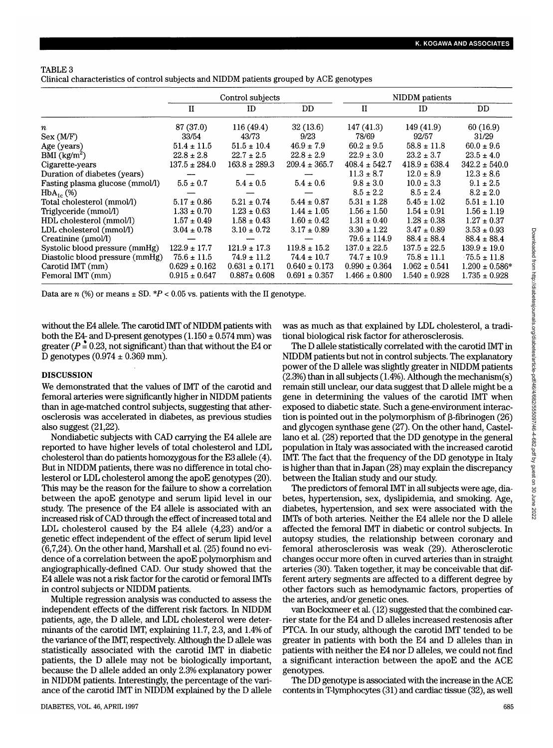# TABLE 3

Clinical characteristics of control subjects and NIDDM patients grouped by ACE genotypes

|                                 |                   | Control subjects  |                   | NIDDM patients    |                   |                    |  |
|---------------------------------|-------------------|-------------------|-------------------|-------------------|-------------------|--------------------|--|
|                                 | $\mathbf{I}$      | ID                | DD.               | $\mathbf{I}$      | ID                | DD.                |  |
| $\boldsymbol{n}$                | 87 (37.0)         | 116(49.4)         | 32(13.6)          | 147(41.3)         | 149(41.9)         | 60(16.9)           |  |
| Sex (M/F)                       | 33/54             | 43/73             | 9/23              | 78/69             | 92/57             | 31/29              |  |
| Age (years)                     | $51.4 \pm 11.5$   | $51.5 \pm 10.4$   | $46.9 \pm 7.9$    | $60.2 \pm 9.5$    | $58.8 \pm 11.8$   | $60.0 \pm 9.6$     |  |
| BMI (kg/m <sup>2</sup> )        | $22.8 \pm 2.8$    | $22.7 \pm 2.5$    | $22.8 \pm 2.9$    | $22.9 \pm 3.0$    | $23.2 \pm 3.7$    | $23.5 \pm 4.0$     |  |
| Cigarette-years                 | $137.5 \pm 284.0$ | $163.8 \pm 289.3$ | $209.4 \pm 365.7$ | $408.4 \pm 542.7$ | $418.9 \pm 638.4$ | $342.2 \pm 540.0$  |  |
| Duration of diabetes (years)    |                   |                   |                   | $11.3 \pm 8.7$    | $12.0 \pm 8.9$    | $12.3 \pm 8.6$     |  |
| Fasting plasma glucose (mmol/l) | $5.5 \pm 0.7$     | $5.4 \pm 0.5$     | $5.4 \pm 0.6$     | $9.8 \pm 3.0$     | $10.0 \pm 3.3$    | $9.1 \pm 2.5$      |  |
| $HbA_{1c}$ (%)                  |                   |                   |                   | $8.5 \pm 2.2$     | $8.5 \pm 2.4$     | $8.2 \pm 2.0$      |  |
| Total cholesterol (mmol/l)      | $5.17 \pm 0.86$   | $5.21 \pm 0.74$   | $5.44 \pm 0.87$   | $5.31 \pm 1.28$   | $5.45 \pm 1.02$   | $5.51 \pm 1.10$    |  |
| Triglyceride (mmol/l)           | $1.33 \pm 0.70$   | $1.23 \pm 0.63$   | $1.44 \pm 1.05$   | $1.56 \pm 1.50$   | $1.54 \pm 0.91$   | $1.56 \pm 1.19$    |  |
| HDL cholesterol (mmol/l)        | $1.57 \pm 0.49$   | $1.58 \pm 0.43$   | $1.60 \pm 0.42$   | $1.31 \pm 0.40$   | $1.28 \pm 0.38$   | $1.27 \pm 0.37$    |  |
| LDL cholesterol (mmol/l)        | $3.04 \pm 0.78$   | $3.10 \pm 0.72$   | $3.17 \pm 0.89$   | $3.30 \pm 1.22$   | $3.47 \pm 0.89$   | $3.53 \pm 0.93$    |  |
| Creatinine (umol/l)             |                   |                   |                   | $79.6 \pm 114.9$  | $88.4 \pm 88.4$   | $88.4 \pm 88.4$    |  |
| Systolic blood pressure (mmHg)  | $122.9 \pm 17.7$  | $121.9 \pm 17.3$  | $119.8 \pm 15.2$  | $137.0 \pm 22.5$  | $137.5 \pm 22.5$  | $139.9 \pm 19.0$   |  |
| Diastolic blood pressure (mmHg) | $75.6 \pm 11.5$   | $74.9 \pm 11.2$   | $74.4 \pm 10.7$   | $74.7 \pm 10.9$   | $75.8 \pm 11.1$   | $75.5 \pm 11.8$    |  |
| Carotid IMT (mm)                | $0.629 \pm 0.162$ | $0.631 \pm 0.171$ | $0.640 \pm 0.173$ | $0.990 \pm 0.364$ | $1.062 \pm 0.541$ | $1.200 \pm 0.586*$ |  |
| Femoral IMT (mm)                | $0.915 \pm 0.647$ | $0.887 \pm 0.608$ | $0.691 \pm 0.357$ | $1.466 \pm 0.800$ | $1.540 \pm 0.928$ | $1.735 \pm 0.928$  |  |

Data are  $n$  (%) or means  $\pm$  SD.  $*P < 0.05$  vs. patients with the II genotype.

without the E4 allele. The carotid IMT of NIDDM patients with both the E4- and D-present genotypes  $(1.150 \pm 0.574$  mm) was greater  $(P = 0.23$ , not significant) than that without the E4 or D genotypes  $(0.974 \pm 0.369 \text{ mm})$ .

## **DISCUSSION**

We demonstrated that the values of IMT of the carotid and femoral arteries were significantly higher in NIDDM patients than in age-matched control subjects, suggesting that atherosclerosis was accelerated in diabetes, as previous studies also suggest (21,22).

Nondiabetic subjects with CAD carrying the E4 allele are reported to have higher levels of total cholesterol and LDL cholesterol than do patients homozygous for the E3 allele (4). But in NIDDM patients, there was no difference in total cholesterol or LDL cholesterol among the apoE genotypes (20). This may be the reason for the failure to show a correlation between the apoE genotype and serum lipid level in our study. The presence of the E4 allele is associated with an increased risk of CAD through the effect of increased total and LDL cholesterol caused by the E4 allele (4,23) and/or a genetic effect independent of the effect of serum lipid level (6,7,24). On the other hand, Marshall et al. (25) found no evidence of a correlation between the apoE polymorphism and angiographically-defined CAD. Our study showed that the E4 allele was not a risk factor for the carotid or femoral MTs in control subjects or NIDDM patients.

Multiple regression analysis was conducted to assess the independent effects of the different risk factors. In NIDDM patients, age, the D allele, and LDL cholesterol were determinants of the carotid IMT, explaining 11.7, 2.3, and 1.4% of the variance of the IMT, respectively. Although the D allele was statistically associated with the carotid IMT in diabetic patients, the D allele may not be biologically important, because the D allele added an only 2.3% explanatory power in NIDDM patients. Interestingly, the percentage of the variance of the carotid IMT in NIDDM explained by the D allele was as much as that explained by LDL cholesterol, a traditional biological risk factor for atherosclerosis.

The D allele statistically correlated with the carotid IMT in NIDDM patients but not in control subjects. The explanatory power of the D allele was slightly greater in NIDDM patients  $(2.3%)$  than in all subjects  $(1.4%)$ . Although the mechanism $(s)$ remain still unclear, our data suggest that D allele might be a gene in determining the values of the carotid IMT when exposed to diabetic state. Such a gene-environment interaction is pointed out in the polymorphism of  $\beta$ -fibrinogen (26) and glycogen synthase gene (27). On the other hand, Castellano et al. (28) reported that the DD genotype in the general population in Italy was associated with the increased carotid IMT. The fact that the frequency of the DD genotype in Italy is higher than that in Japan (28) may explain the discrepancy between the Italian study and our study.

The predictors of femoral IMT in all subjects were age, diabetes, hypertension, sex, dyslipidemia, and smoking. Age, diabetes, hypertension, and sex were associated with the IMTs of both arteries. Neither the E4 allele nor the D allele affected the femoral IMT in diabetic or control subjects. In autopsy studies, the relationship between coronary and femoral atherosclerosis was weak (29). Atherosclerotic changes occur more often in curved arteries than in straight arteries (30). Taken together, it may be conceivable that different artery segments are affected to a different degree by other factors such as hemodynamic factors, properties of the arteries, and/or genetic ones.

van Bockxmeer et al. (12) suggested that the combined carrier state for the E4 and D alleles increased restenosis after PTCA. In our study, although the carotid IMT tended to be greater in patients with both the E4 and D alleles than in patients with neither the E4 nor D alleles, we could not find a significant interaction between the apoE and the ACE genotypes.

The DD genotype is associated with the increase in the ACE contents in T-lymphocytes (31) and cardiac tissue (32), as well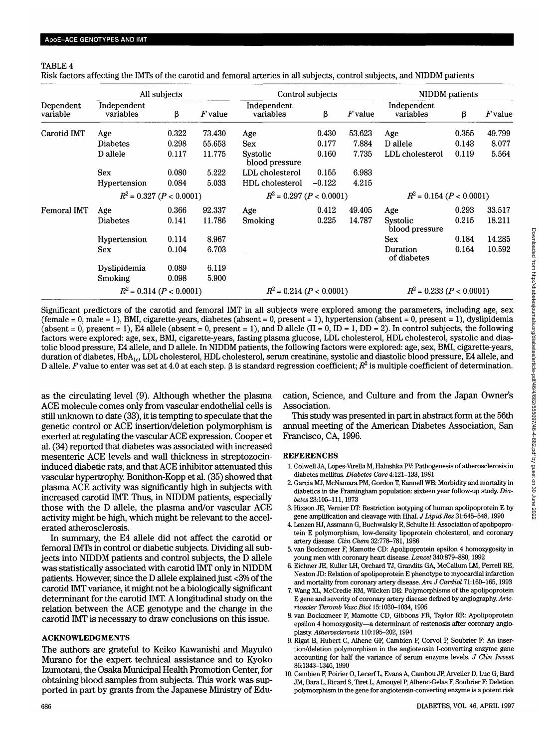## TABLE 4

Risk factors affecting the IMTs of the carotid and femoral arteries in all subjects, control subjects, and NIDDM patients

|                            | All subjects             |       |                            |                            | Control subjects |                            | NIDDM patients             |       |           |
|----------------------------|--------------------------|-------|----------------------------|----------------------------|------------------|----------------------------|----------------------------|-------|-----------|
| Dependent<br>variable      | Independent<br>variables | β     | $F$ value                  | Independent<br>variables   | β                | $F$ value                  | Independent<br>variables   | β     | $F$ value |
| Carotid IMT                | Age                      | 0.322 | 73.430                     | Age                        | 0.430            | 53.623                     | Age                        | 0.355 | 49.799    |
|                            | <b>Diabetes</b>          | 0.298 | 55.653                     | <b>Sex</b>                 | 0.177            | 7.884                      | D allele                   | 0.143 | 8.077     |
|                            | D allele                 | 0.117 | 11.775                     | Systolic<br>blood pressure | 0.160            | 7.735                      | LDL cholesterol            | 0.119 | 5.564     |
|                            | <b>Sex</b>               | 0.080 | 5.222                      | LDL cholesterol            | 0.155            | 6.983                      |                            |       |           |
|                            | Hypertension             | 0.084 | 5.033                      | HDL cholesterol            | $-0.122$         | 4.215                      |                            |       |           |
| $R^2 = 0.327 (P < 0.0001)$ |                          |       | $R^2$ = 0.297 (P < 0.0001) |                            |                  | $R^2$ = 0.154 (P < 0.0001) |                            |       |           |
| <b>Femoral IMT</b>         | Age                      | 0.366 | 92.337                     | Age                        | 0.412            | 49.405                     | Age                        | 0.293 | 33.517    |
|                            | Diabetes                 | 0.141 | 11.786                     | Smoking                    | 0.225            | 14.787                     | Systolic<br>blood pressure | 0.215 | 18.211    |
|                            | Hypertension             | 0.114 | 8.967                      |                            |                  |                            | <b>Sex</b>                 | 0.184 | 14.285    |
|                            | <b>Sex</b>               | 0.104 | 6.703                      |                            |                  |                            | Duration<br>of diabetes    | 0.164 | 10.592    |
|                            | Dyslipidemia             | 0.089 | 6.119                      |                            |                  |                            |                            |       |           |
|                            | <b>Smoking</b>           | 0.098 | 5.900                      |                            |                  |                            |                            |       |           |
| $R^2 = 0.314 (P < 0.0001)$ |                          |       | $R^2$ = 0.214 (P < 0.0001) |                            |                  | $R^2$ = 0.233 (P < 0.0001) |                            |       |           |

Significant predictors of the carotid and femoral IMT in all subjects were explored among the parameters, including age, sex (female = 0, male = 1), BMI, cigarette-years, diabetes (absent = 0, present = 1), hypertension (absent = 0, present = 1), dyslipidemia (absent = 0, present = 1), E4 allele (absent = 0, present = 1), and D allele (II = 0, ID = 1, DD = 2). In control subjects, the following factors were explored: age, sex, BMI, cigarette-years, fasting plasma glucose, LDL cholesterol, HDL cholesterol, systolic and diastolic blood pressure, E4 allele, and D allele. In NIDDM patients, the following factors were explored: age, sex, BMI, cigarette-years, duration of diabetes, HbA<sub>lc</sub>, LDL cholesterol, HDL cholesterol, serum creatinine, systolic and diastolic blood pressure, E4 allele, and D allele. *F* value to enter was set at 4.0 at each step.  $\beta$  is standard regression coefficient;  $R^2$  is multiple coefficient of determination.

as the circulating level (9). Although whether the plasma ACE molecule comes only from vascular endothelial cells is still unknown to date (33), it is tempting to speculate that the genetic control or ACE insertion/deletion polymorphism is exerted at regulating the vascular ACE expression. Cooper et al. (34) reported that diabetes was associated with increased mesenteric ACE levels and wall thickness in streptozocininduced diabetic rats, and that ACE inhibitor attenuated this vascular hypertrophy. Bonithon-Kopp et al. (35) showed that plasma ACE activity was significantly high in subjects with increased carotid IMT. Thus, in NIDDM patients, especially those with the D allele, the plasma and/or vascular ACE activity might be high, which might be relevant to the accelerated atherosclerosis.

In summary, the E4 allele did not affect the carotid or femoral Mis in control or diabetic subjects. Dividing all subjects into NIDDM patients and control subjects, the D allele was statistically associated with carotid IMT only in NIDDM patients. However, since the D allele explained just <3% of the carotid IMT variance, it might not be a biologically significant determinant for the carotid IMT. A longitudinal study on the relation between the ACE genotype and the change in the carotid IMT is necessary to draw conclusions on this issue.

### ACKNOWLEDGMENTS

The authors are grateful to Keiko Kawanishi and Mayuko Murano for the expert technical assistance and to Kyoko Izumotani, the Osaka Municipal Health Promotion Center, for obtaining blood samples from subjects. This work was supported in part by grants from the Japanese Ministry of Education, Science, and Culture and from the Japan Owner's Association.

This study was presented in part in abstract form at the 56th annual meeting of the American Diabetes Association, San Francisco, CA, 1996.

### REFERENCES

- 1. Colwell JA, Lopes-Virella M, Halushka PV: Pathogenesis of atherosclerosis in diabetes mellitus. *Diabetes Care* 4:121-133,1981
- 2. Garcia MJ, McNamara PM, Gordon T, Kannell WB: Morbidity and mortality in diabetics in the Framingham population: sixteen year follow-up study. *Diabetes* 23:105-111,1973
- 3. Hixson JE, Vernier DT: Restriction isotyping of human apolipoprotein E by gene amplification and cleavage with Hhal. *JLipid Res* 31:545-548,1990
- 4. Lenzen HJ, Assmann G, Buchwalsky R, Schulte H: Association of apolipoprotein E polymorphism, low-density lipoprotein cholesterol, and coronary artery disease. *Clin Chem* 32:778-781,1986
- 5. van Bockxmeer F, Mamotte CD: Apolipoprotein epsilon 4 homozygosity in young men with coronary heart disease. *Lancet* 340:879-880,1992
- 6. Eichner JE, Kuller LH, Orchard TJ, Grandits GA, McCallum LM, Ferrell RE, Neaton JD: Relation of apolipoprotein E phenotype to myocardial infarction and mortality from coronary artery disease. *Am J Cardiol* 71:160-165,1993
- 7. Wang XL, McCredie RM, Wilcken DE: Polymorphisms of the apolipoprotein E gene and severity of coronary artery disease denned by angiography. *Arterioscler Thromb VascBiol* 15:1030-1034,1995
- 8. van Bockxmeer F, Mamotte CD, Gibbons FR, Taylor RR: Apolipoprotein epsilon 4 homozygosity—a determinant of restenosis after coronary angioplasty. *Atherosclerosis* 110:195-202,1994
- 9. Rigat B, Hubert C, Alhenc GF, Cambien F, Corvol P, Soubrier F: An insertion/deletion polymorphism in the angiotensin I-converting enzyme gene accounting for half the variance of serum enzyme levels. *J Clin Invest* 86:1343-1346,1990
- 10. Cambien F, Poirier O, Lecerf L, Evans A, Cambou JP, Arveiler D, Luc G, Bard JM, Bara L, Ricard S, Tiret L, Amouyel P, Alhenc-Gelas F, Soubrier F: Deletion polymorphism in the gene for angiotensin-converting enzyme is a potent risk